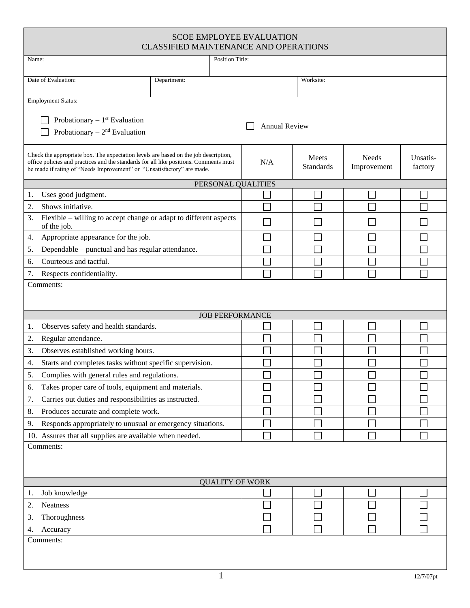| <b>SCOE EMPLOYEE EVALUATION</b><br><b>CLASSIFIED MAINTENANCE AND OPERATIONS</b>                                                                                                                                                                        |                    |        |                           |                             |                     |  |
|--------------------------------------------------------------------------------------------------------------------------------------------------------------------------------------------------------------------------------------------------------|--------------------|--------|---------------------------|-----------------------------|---------------------|--|
| Position Title:<br>Name:                                                                                                                                                                                                                               |                    |        |                           |                             |                     |  |
| Date of Evaluation:                                                                                                                                                                                                                                    | Department:        |        | Worksite:                 |                             |                     |  |
| <b>Employment Status:</b>                                                                                                                                                                                                                              |                    |        |                           |                             |                     |  |
| Probationary $-1$ <sup>st</sup> Evaluation<br><b>Annual Review</b><br>Probationary $-2nd$ Evaluation                                                                                                                                                   |                    |        |                           |                             |                     |  |
| Check the appropriate box. The expectation levels are based on the job description,<br>office policies and practices and the standards for all like positions. Comments must<br>be made if rating of "Needs Improvement" or "Unsatisfactory" are made. |                    | N/A    | Meets<br><b>Standards</b> | <b>Needs</b><br>Improvement | Unsatis-<br>factory |  |
|                                                                                                                                                                                                                                                        | PERSONAL QUALITIES |        |                           |                             |                     |  |
| Uses good judgment.<br>1.                                                                                                                                                                                                                              |                    |        |                           |                             |                     |  |
| Shows initiative.<br>2.                                                                                                                                                                                                                                |                    |        |                           |                             |                     |  |
| Flexible – willing to accept change or adapt to different aspects<br>3.<br>of the job.                                                                                                                                                                 |                    |        |                           |                             |                     |  |
| Appropriate appearance for the job.<br>4.                                                                                                                                                                                                              |                    |        |                           |                             |                     |  |
| Dependable – punctual and has regular attendance.<br>5.                                                                                                                                                                                                |                    |        |                           |                             |                     |  |
| Courteous and tactful.<br>6.                                                                                                                                                                                                                           |                    |        |                           |                             |                     |  |
| 7.<br>Respects confidentiality.                                                                                                                                                                                                                        |                    |        |                           |                             |                     |  |
| <b>JOB PERFORMANCE</b>                                                                                                                                                                                                                                 |                    |        |                           |                             |                     |  |
| Observes safety and health standards.<br>1.                                                                                                                                                                                                            |                    |        |                           |                             |                     |  |
| 2.<br>Regular attendance.                                                                                                                                                                                                                              |                    |        |                           |                             |                     |  |
| 3.<br>Observes established working hours.                                                                                                                                                                                                              |                    |        |                           |                             |                     |  |
| Starts and completes tasks without specific supervision.<br>4.                                                                                                                                                                                         |                    | $\Box$ | $\Box$                    | $\Box$                      | $\Box$              |  |
| Complies with general rules and regulations.<br>5.                                                                                                                                                                                                     |                    |        |                           |                             |                     |  |
| Takes proper care of tools, equipment and materials.<br>6.                                                                                                                                                                                             |                    |        |                           |                             |                     |  |
| Carries out duties and responsibilities as instructed.<br>7.                                                                                                                                                                                           |                    |        |                           |                             |                     |  |
| Produces accurate and complete work.<br>8.                                                                                                                                                                                                             |                    |        |                           |                             |                     |  |
| Responds appropriately to unusual or emergency situations.<br>9.                                                                                                                                                                                       |                    |        |                           |                             |                     |  |
| 10. Assures that all supplies are available when needed.                                                                                                                                                                                               |                    |        |                           |                             |                     |  |
| Comments:                                                                                                                                                                                                                                              |                    |        |                           |                             |                     |  |
| <b>QUALITY OF WORK</b>                                                                                                                                                                                                                                 |                    |        |                           |                             |                     |  |
| Job knowledge<br>1.                                                                                                                                                                                                                                    |                    |        |                           |                             |                     |  |
| 2.<br>Neatness                                                                                                                                                                                                                                         |                    |        |                           |                             |                     |  |
| Thoroughness<br>3.                                                                                                                                                                                                                                     |                    |        |                           |                             |                     |  |
| Accuracy<br>4.<br>Comments:                                                                                                                                                                                                                            |                    |        |                           |                             |                     |  |
|                                                                                                                                                                                                                                                        |                    |        |                           |                             |                     |  |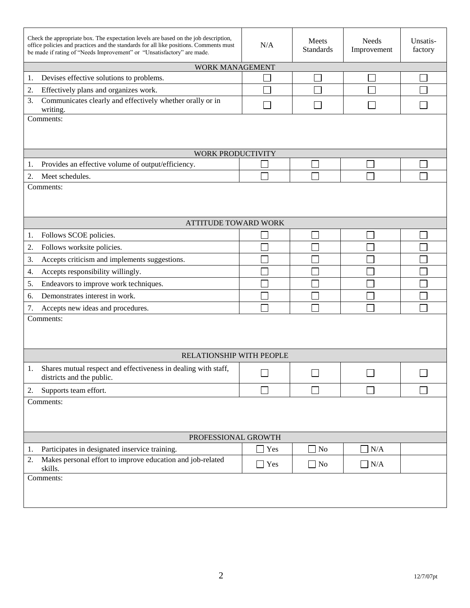| Check the appropriate box. The expectation levels are based on the job description,<br>office policies and practices and the standards for all like positions. Comments must<br>be made if rating of "Needs Improvement" or "Unsatisfactory" are made. | N/A                      | Meets<br><b>Standards</b>   | Needs<br>Improvement     | Unsatis-<br>factory      |  |  |
|--------------------------------------------------------------------------------------------------------------------------------------------------------------------------------------------------------------------------------------------------------|--------------------------|-----------------------------|--------------------------|--------------------------|--|--|
| WORK MANAGEMENT                                                                                                                                                                                                                                        |                          |                             |                          |                          |  |  |
| Devises effective solutions to problems.<br>1.                                                                                                                                                                                                         |                          |                             |                          |                          |  |  |
| Effectively plans and organizes work.<br>2.                                                                                                                                                                                                            |                          |                             |                          |                          |  |  |
| Communicates clearly and effectively whether orally or in<br>3.<br>writing.                                                                                                                                                                            |                          |                             |                          |                          |  |  |
| Comments:                                                                                                                                                                                                                                              |                          |                             |                          |                          |  |  |
| WORK PRODUCTIVITY                                                                                                                                                                                                                                      |                          |                             |                          |                          |  |  |
| Provides an effective volume of output/efficiency.<br>1.                                                                                                                                                                                               |                          |                             |                          |                          |  |  |
| 2.<br>Meet schedules.                                                                                                                                                                                                                                  |                          |                             |                          |                          |  |  |
| Comments:                                                                                                                                                                                                                                              |                          |                             |                          |                          |  |  |
| ATTITUDE TOWARD WORK                                                                                                                                                                                                                                   |                          |                             |                          |                          |  |  |
| Follows SCOE policies.<br>1.                                                                                                                                                                                                                           |                          |                             |                          |                          |  |  |
| Follows worksite policies.<br>2.                                                                                                                                                                                                                       |                          |                             |                          |                          |  |  |
| Accepts criticism and implements suggestions.<br>3.                                                                                                                                                                                                    |                          |                             |                          |                          |  |  |
| Accepts responsibility willingly.<br>4.                                                                                                                                                                                                                |                          |                             |                          |                          |  |  |
| Endeavors to improve work techniques.<br>5.                                                                                                                                                                                                            |                          |                             |                          |                          |  |  |
| Demonstrates interest in work.<br>6.                                                                                                                                                                                                                   |                          |                             |                          |                          |  |  |
| 7.<br>Accepts new ideas and procedures.                                                                                                                                                                                                                |                          |                             |                          |                          |  |  |
| Comments:                                                                                                                                                                                                                                              |                          |                             |                          |                          |  |  |
| RELATIONSHIP WITH PEOPLE                                                                                                                                                                                                                               |                          |                             |                          |                          |  |  |
| Shares mutual respect and effectiveness in dealing with staff,<br>districts and the public.                                                                                                                                                            | $\overline{\phantom{0}}$ | $\overline{\phantom{0}}$    | $\overline{\phantom{0}}$ | $\overline{\phantom{0}}$ |  |  |
| Supports team effort.<br>2.                                                                                                                                                                                                                            |                          | $\mathcal{L}_{\mathcal{A}}$ |                          |                          |  |  |
| Comments:                                                                                                                                                                                                                                              |                          |                             |                          |                          |  |  |
| PROFESSIONAL GROWTH                                                                                                                                                                                                                                    |                          |                             |                          |                          |  |  |
| Participates in designated inservice training.<br>1.<br>Makes personal effort to improve education and job-related<br>2.                                                                                                                               | Yes                      | $\Box$ No                   | N/A                      |                          |  |  |
| skills.                                                                                                                                                                                                                                                | Yes                      | $\Box$ No                   | $\Box$ N/A               |                          |  |  |
| Comments:                                                                                                                                                                                                                                              |                          |                             |                          |                          |  |  |